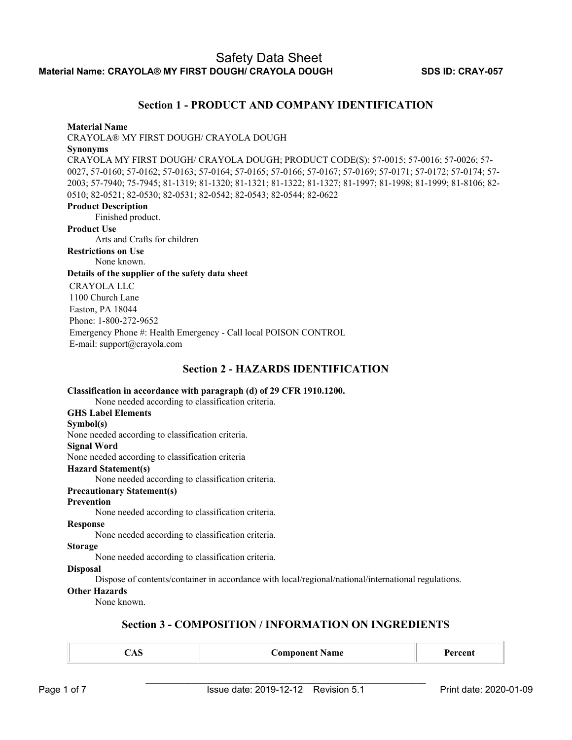### **Section 1 - PRODUCT AND COMPANY IDENTIFICATION**

#### **Material Name**

CRAYOLA® MY FIRST DOUGH/ CRAYOLA DOUGH

### **Synonyms**

CRAYOLA MY FIRST DOUGH/ CRAYOLA DOUGH; PRODUCT CODE(S): 57-0015; 57-0016; 57-0026; 57- 0027, 57-0160; 57-0162; 57-0163; 57-0164; 57-0165; 57-0166; 57-0167; 57-0169; 57-0171; 57-0172; 57-0174; 57- 2003; 57-7940; 75-7945; 81-1319; 81-1320; 81-1321; 81-1322; 81-1327; 81-1997; 81-1998; 81-1999; 81-8106; 82- 0510; 82-0521; 82-0530; 82-0531; 82-0542; 82-0543; 82-0544; 82-0622

#### **Product Description**

Finished product.

**Product Use**

Arts and Crafts for children

**Restrictions on Use** None known.

### **Details of the supplier of the safety data sheet**

CRAYOLA LLC 1100 Church Lane Easton, PA 18044 Phone: 1-800-272-9652 Emergency Phone #: Health Emergency - Call local POISON CONTROL E-mail: support@crayola.com

### **Section 2 - HAZARDS IDENTIFICATION**

| Classification in accordance with paragraph (d) of 29 CFR 1910.1200.<br>None needed according to classification criteria. |
|---------------------------------------------------------------------------------------------------------------------------|
| <b>GHS Label Elements</b>                                                                                                 |
|                                                                                                                           |
| Symbol(s)                                                                                                                 |
| None needed according to classification criteria.                                                                         |
| <b>Signal Word</b>                                                                                                        |
| None needed according to classification criteria                                                                          |
| <b>Hazard Statement(s)</b>                                                                                                |
| None needed according to classification criteria.                                                                         |
| <b>Precautionary Statement(s)</b>                                                                                         |
| <b>Prevention</b>                                                                                                         |
| None needed according to classification criteria.                                                                         |
| <b>Response</b>                                                                                                           |
| None needed according to classification criteria.                                                                         |
| <b>Storage</b>                                                                                                            |
| None needed according to classification criteria.                                                                         |
| <b>Disposal</b>                                                                                                           |
| Dispose of contents/container in accordance with local/regional/national/international regulations.                       |
| <b>Other Hazards</b>                                                                                                      |
| None known.                                                                                                               |
|                                                                                                                           |

### **Section 3 - COMPOSITION / INFORMATION ON INGREDIENTS**

|  | Component Name | roont<br>эш |
|--|----------------|-------------|
|--|----------------|-------------|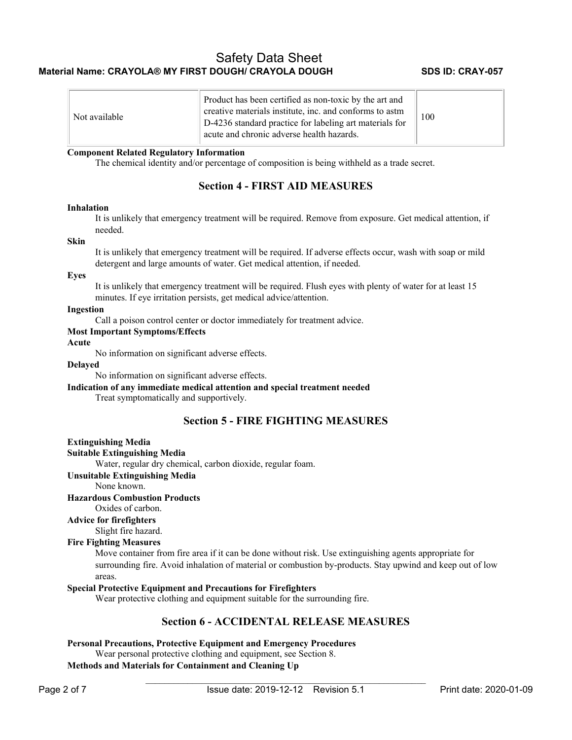| Not available | Product has been certified as non-toxic by the art and<br>creative materials institute, inc. and conforms to astm<br>D-4236 standard practice for labeling art materials for<br>acute and chronic adverse health hazards. | 100 |
|---------------|---------------------------------------------------------------------------------------------------------------------------------------------------------------------------------------------------------------------------|-----|
|---------------|---------------------------------------------------------------------------------------------------------------------------------------------------------------------------------------------------------------------------|-----|

#### **Component Related Regulatory Information**

The chemical identity and/or percentage of composition is being withheld as a trade secret.

### **Section 4 - FIRST AID MEASURES**

#### **Inhalation**

It is unlikely that emergency treatment will be required. Remove from exposure. Get medical attention, if needed.

#### **Skin**

It is unlikely that emergency treatment will be required. If adverse effects occur, wash with soap or mild detergent and large amounts of water. Get medical attention, if needed.

#### **Eyes**

It is unlikely that emergency treatment will be required. Flush eyes with plenty of water for at least 15 minutes. If eye irritation persists, get medical advice/attention.

#### **Ingestion**

Call a poison control center or doctor immediately for treatment advice.

#### **Most Important Symptoms/Effects**

**Acute** 

No information on significant adverse effects.

### **Delayed**

No information on significant adverse effects.

### **Indication of any immediate medical attention and special treatment needed**

Treat symptomatically and supportively.

### **Section 5 - FIRE FIGHTING MEASURES**

#### **Extinguishing Media**

```
Suitable Extinguishing Media
```
Water, regular dry chemical, carbon dioxide, regular foam.

**Unsuitable Extinguishing Media**

None known.

#### **Hazardous Combustion Products**

Oxides of carbon.

**Advice for firefighters** 

Slight fire hazard.

#### **Fire Fighting Measures**

Move container from fire area if it can be done without risk. Use extinguishing agents appropriate for surrounding fire. Avoid inhalation of material or combustion by-products. Stay upwind and keep out of low areas.

### **Special Protective Equipment and Precautions for Firefighters**

Wear protective clothing and equipment suitable for the surrounding fire.

### **Section 6 - ACCIDENTAL RELEASE MEASURES**

### **Personal Precautions, Protective Equipment and Emergency Procedures**

Wear personal protective clothing and equipment, see Section 8. **Methods and Materials for Containment and Cleaning Up**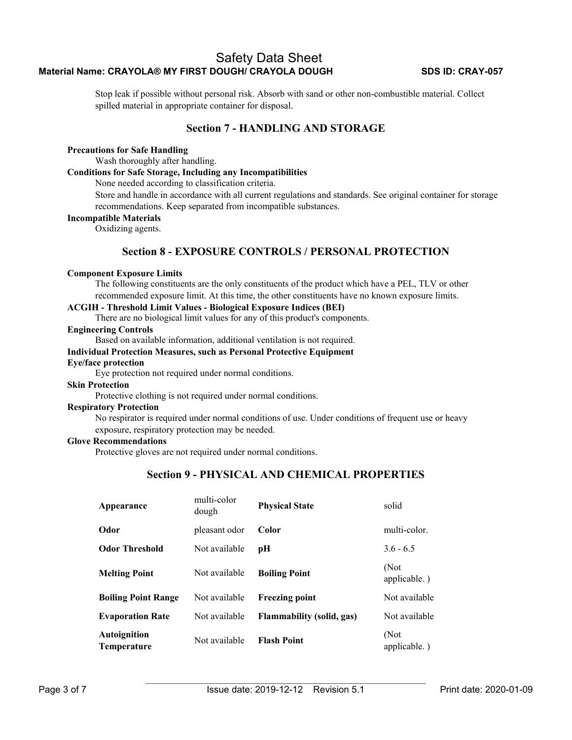Stop leak if possible without personal risk. Absorb with sand or other non-combustible material. Collect spilled material in appropriate container for disposal.

### **Section 7 - HANDLING AND STORAGE**

#### **Precautions for Safe Handling**

Wash thoroughly after handling.

### **Conditions for Safe Storage, Including any Incompatibilities**

None needed according to classification criteria.

Store and handle in accordance with all current regulations and standards. See original container for storage recommendations. Keep separated from incompatible substances.

#### **Incompatible Materials**

Oxidizing agents.

### **Section 8 - EXPOSURE CONTROLS / PERSONAL PROTECTION**

#### **Component Exposure Limits**

The following constituents are the only constituents of the product which have a PEL, TLV or other recommended exposure limit. At this time, the other constituents have no known exposure limits.

### **ACGIH - Threshold Limit Values - Biological Exposure Indices (BEI)**

There are no biological limit values for any of this product's components.

### **Engineering Controls**

Based on available information, additional ventilation is not required.

### **Individual Protection Measures, such as Personal Protective Equipment**

#### **Eye/face protection**

Eye protection not required under normal conditions.

### **Skin Protection**

Protective clothing is not required under normal conditions.

### **Respiratory Protection**

No respirator is required under normal conditions of use. Under conditions of frequent use or heavy exposure, respiratory protection may be needed.

#### **Glove Recommendations**

Protective gloves are not required under normal conditions.

### **Section 9 - PHYSICAL AND CHEMICAL PROPERTIES**

| Appearance                  | multi-color<br>dough | <b>Physical State</b>     | solid                |
|-----------------------------|----------------------|---------------------------|----------------------|
| Odor                        | pleasant odor        | Color                     | multi-color.         |
| <b>Odor Threshold</b>       | Not available        | pН                        | $3.6 - 6.5$          |
| <b>Melting Point</b>        | Not available        | <b>Boiling Point</b>      | (Not<br>applicable.) |
| <b>Boiling Point Range</b>  | Not available        | <b>Freezing point</b>     | Not available        |
| <b>Evaporation Rate</b>     | Not available        | Flammability (solid, gas) | Not available        |
| Autoignition<br>Temperature | Not available        | <b>Flash Point</b>        | (Not<br>applicable.) |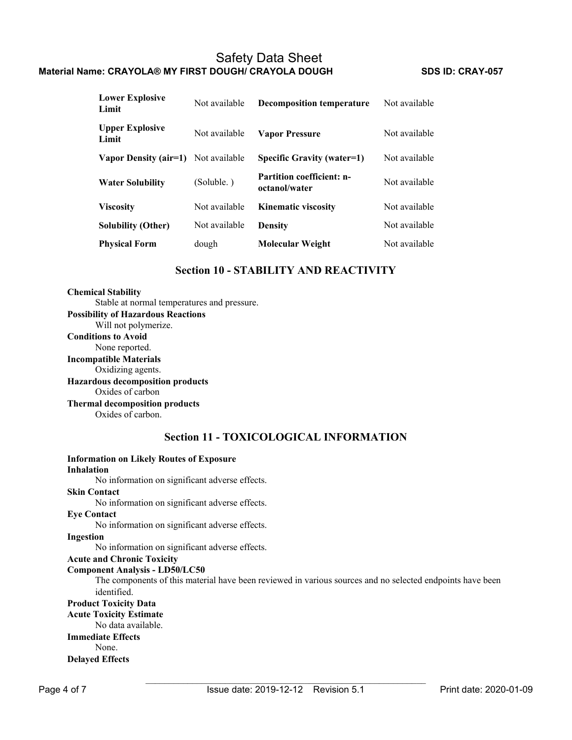| <b>Lower Explosive</b><br>Limit | Not available | <b>Decomposition temperature</b>                  | Not available |
|---------------------------------|---------------|---------------------------------------------------|---------------|
| <b>Upper Explosive</b><br>Limit | Not available | <b>Vapor Pressure</b>                             | Not available |
| Vapor Density (air=1)           | Not available | Specific Gravity (water=1)                        | Not available |
| <b>Water Solubility</b>         | (Soluble.)    | <b>Partition coefficient: n-</b><br>octanol/water | Not available |
| <b>Viscosity</b>                | Not available | <b>Kinematic viscosity</b>                        | Not available |
| <b>Solubility (Other)</b>       | Not available | <b>Density</b>                                    | Not available |
| <b>Physical Form</b>            | dough         | Molecular Weight                                  | Not available |

### **Section 10 - STABILITY AND REACTIVITY**

### **Chemical Stability**

Stable at normal temperatures and pressure. **Possibility of Hazardous Reactions**

Will not polymerize.

**Conditions to Avoid** None reported. **Incompatible Materials** Oxidizing agents. **Hazardous decomposition products** 

Oxides of carbon

**Thermal decomposition products**  Oxides of carbon.

**Section 11 - TOXICOLOGICAL INFORMATION**

| <b>Information on Likely Routes of Exposure</b>                                                           |
|-----------------------------------------------------------------------------------------------------------|
| Inhalation                                                                                                |
| No information on significant adverse effects.                                                            |
| <b>Skin Contact</b>                                                                                       |
| No information on significant adverse effects.                                                            |
| <b>Eve Contact</b>                                                                                        |
| No information on significant adverse effects.                                                            |
| Ingestion                                                                                                 |
| No information on significant adverse effects.                                                            |
| <b>Acute and Chronic Toxicity</b>                                                                         |
| <b>Component Analysis - LD50/LC50</b>                                                                     |
| The components of this material have been reviewed in various sources and no selected endpoints have been |
| identified.                                                                                               |
| <b>Product Toxicity Data</b>                                                                              |
| <b>Acute Toxicity Estimate</b>                                                                            |
| No data available.                                                                                        |
| <b>Immediate Effects</b>                                                                                  |
| None.                                                                                                     |
| <b>Delayed Effects</b>                                                                                    |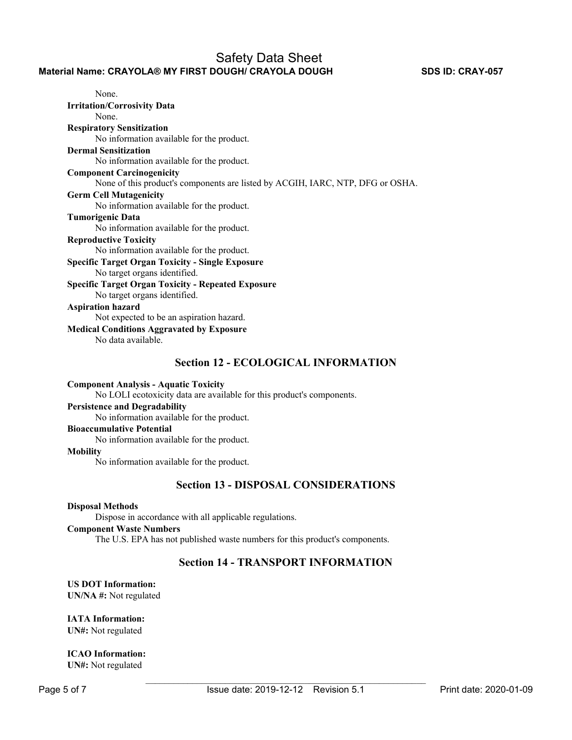### **Section 12 - ECOLOGICAL INFORMATION**

#### **Component Analysis - Aquatic Toxicity**

No LOLI ecotoxicity data are available for this product's components.

#### **Persistence and Degradability**

No information available for the product.

# **Bioaccumulative Potential**

No information available for the product.

#### **Mobility**

No information available for the product.

### **Section 13 - DISPOSAL CONSIDERATIONS**

#### **Disposal Methods**

Dispose in accordance with all applicable regulations.

### **Component Waste Numbers**

The U.S. EPA has not published waste numbers for this product's components.

### **Section 14 - TRANSPORT INFORMATION**

## **US DOT Information:**

**UN/NA #:** Not regulated

### **IATA Information:**

**UN#:** Not regulated

### **ICAO Information:**

**UN#:** Not regulated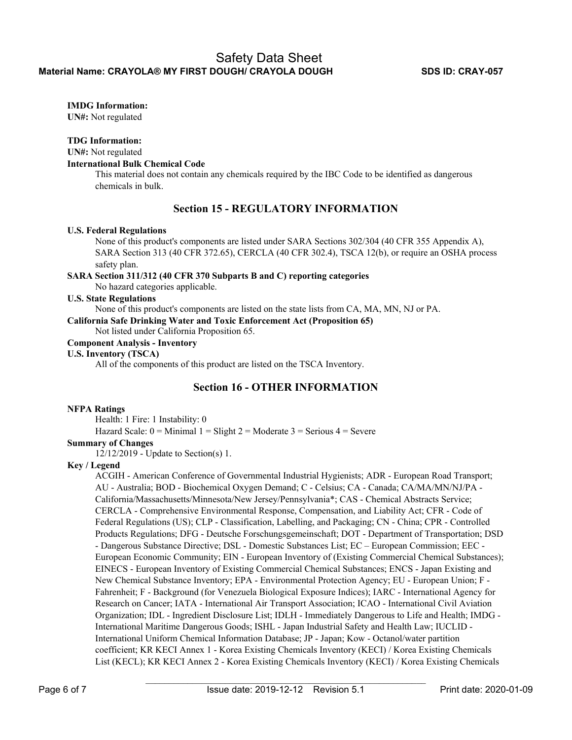### **IMDG Information:**

**UN#:** Not regulated

### **TDG Information:**

**UN#:** Not regulated

#### **International Bulk Chemical Code**

This material does not contain any chemicals required by the IBC Code to be identified as dangerous chemicals in bulk.

### **Section 15 - REGULATORY INFORMATION**

#### **U.S. Federal Regulations**

None of this product's components are listed under SARA Sections 302/304 (40 CFR 355 Appendix A), SARA Section 313 (40 CFR 372.65), CERCLA (40 CFR 302.4), TSCA 12(b), or require an OSHA process safety plan.

### **SARA Section 311/312 (40 CFR 370 Subparts B and C) reporting categories**

No hazard categories applicable.

### **U.S. State Regulations**

None of this product's components are listed on the state lists from CA, MA, MN, NJ or PA.

**California Safe Drinking Water and Toxic Enforcement Act (Proposition 65)** 

Not listed under California Proposition 65.

### **Component Analysis - Inventory**

### **U.S. Inventory (TSCA)**

All of the components of this product are listed on the TSCA Inventory.

### **Section 16 - OTHER INFORMATION**

### **NFPA Ratings**

Health: 1 Fire: 1 Instability: 0

Hazard Scale:  $0 =$  Minimal  $1 =$  Slight  $2 =$  Moderate  $3 =$  Serious  $4 =$  Severe

### **Summary of Changes**

12/12/2019 - Update to Section(s) 1.

### **Key / Legend**

ACGIH - American Conference of Governmental Industrial Hygienists; ADR - European Road Transport; AU - Australia; BOD - Biochemical Oxygen Demand; C - Celsius; CA - Canada; CA/MA/MN/NJ/PA - California/Massachusetts/Minnesota/New Jersey/Pennsylvania\*; CAS - Chemical Abstracts Service; CERCLA - Comprehensive Environmental Response, Compensation, and Liability Act; CFR - Code of Federal Regulations (US); CLP - Classification, Labelling, and Packaging; CN - China; CPR - Controlled Products Regulations; DFG - Deutsche Forschungsgemeinschaft; DOT - Department of Transportation; DSD - Dangerous Substance Directive; DSL - Domestic Substances List; EC – European Commission; EEC - European Economic Community; EIN - European Inventory of (Existing Commercial Chemical Substances); EINECS - European Inventory of Existing Commercial Chemical Substances; ENCS - Japan Existing and New Chemical Substance Inventory; EPA - Environmental Protection Agency; EU - European Union; F - Fahrenheit; F - Background (for Venezuela Biological Exposure Indices); IARC - International Agency for Research on Cancer; IATA - International Air Transport Association; ICAO - International Civil Aviation Organization; IDL - Ingredient Disclosure List; IDLH - Immediately Dangerous to Life and Health; IMDG - International Maritime Dangerous Goods; ISHL - Japan Industrial Safety and Health Law; IUCLID - International Uniform Chemical Information Database; JP - Japan; Kow - Octanol/water partition coefficient; KR KECI Annex 1 - Korea Existing Chemicals Inventory (KECI) / Korea Existing Chemicals List (KECL); KR KECI Annex 2 - Korea Existing Chemicals Inventory (KECI) / Korea Existing Chemicals